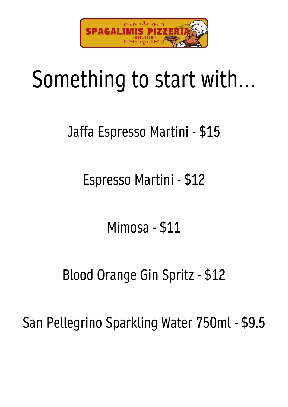

# Something to start with…

## Jaffa Espresso Martini - \$15

Espresso Martini - \$12

Mimosa - \$11

### Blood Orange Gin Spritz - \$12

San Pellegrino Sparkling Water 750ml - \$9.5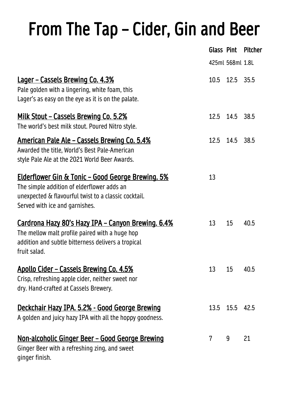## From The Tap – Cider, Gin and Beer

|                                                                                                                                                                                                       |                | Glass Pint       | <b>Pitcher</b> |
|-------------------------------------------------------------------------------------------------------------------------------------------------------------------------------------------------------|----------------|------------------|----------------|
|                                                                                                                                                                                                       |                | 425ml 568ml 1.8L |                |
| <u>Lager - Cassels Brewing Co. 4.3%</u><br>Pale golden with a lingering, white foam, this<br>Lager's as easy on the eye as it is on the palate.                                                       |                | 10.5 12.5 35.5   |                |
| <u> Milk Stout – Cassels Brewing Co. 5.2%</u><br>The world's best milk stout. Poured Nitro style.                                                                                                     |                | 12.5 14.5 38.5   |                |
| <u> American Pale Ale – Cassels Brewing Co. 5.4%</u><br>Awarded the title, World's Best Pale-American<br>style Pale Ale at the 2021 World Beer Awards.                                                |                | 12.5 14.5 38.5   |                |
| <u> Elderflower Gin &amp; Tonic - Good George Brewing. 5%</u><br>The simple addition of elderflower adds an<br>unexpected & flavourful twist to a classic cocktail.<br>Served with ice and garnishes. | 13             |                  |                |
| <u> Cardrona Hazy 80's Hazy IPA – Canyon Brewing. 6.4%</u><br>The mellow malt profile paired with a huge hop<br>addition and subtle bitterness delivers a tropical<br>fruit salad.                    | 13             | 15               | 40.5           |
| Apollo Cider - Cassels Brewing Co. 4.5%<br>Crisp, refreshing apple cider, neither sweet nor<br>dry. Hand-crafted at Cassels Brewery.                                                                  | 13             | 15               | 40.5           |
| <u> Deckchair Hazy IPA. 5.2% - Good George Brewing</u><br>A golden and juicy hazy IPA with all the hoppy goodness.                                                                                    |                | 13.5 15.5 42.5   |                |
| <u> Non-alcoholic Ginger Beer – Good George Brewing</u><br>Ginger Beer with a refreshing zing, and sweet<br>ginger finish.                                                                            | $\overline{7}$ | 9                | 21             |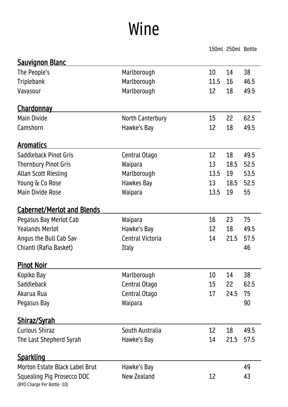## Wine

150ml 250ml Bottle

| <b>Sauvignon Blanc</b>                                    |                         |      |      |      |
|-----------------------------------------------------------|-------------------------|------|------|------|
| The People's                                              | Marlborough             | 10   | 14   | 38   |
| <b>Triplebank</b>                                         | Marlborough             | 11.5 | 16   | 46.5 |
| Vavasour                                                  | Marlborough             | 12   | 18   | 49.5 |
| <u>Chardonnay</u>                                         |                         |      |      |      |
| <b>Main Divide</b>                                        | <b>North Canterbury</b> | 15   | 22   | 62.5 |
| Camshorn                                                  | Hawke's Bay             | 12   | 18   | 49.5 |
| <u>Aromatics</u>                                          |                         |      |      |      |
| Saddleback Pinot Gris                                     | Central Otago           | 12   | 18   | 49.5 |
| <b>Thornbury Pinot Gris</b>                               | Waipara                 | 13   | 18.5 | 52.5 |
| <b>Allan Scott Riesling</b>                               | Marlborough             | 13.5 | 19   | 53.5 |
| Young & Co Rose                                           | Hawkes Bay              | 13   | 18.5 | 52.5 |
| <b>Main Divide Rose</b>                                   | Waipara                 | 13.5 | 19   | 55   |
| <b>Cabernet/Merlot and Blends</b>                         |                         |      |      |      |
| Pegasus Bay Merlot Cab                                    | Waipara                 | 16   | 23   | 75   |
| <b>Yealands Merlot</b>                                    | Hawke's Bay             | 12   | 18   | 49.5 |
| Angus the Bull Cab Sav                                    | Central Victoria        | 14   | 21.5 | 57.5 |
| Chianti (Rafia Basket)                                    | <b>Italy</b>            |      |      | 46   |
| <b>Pinot Noir</b>                                         |                         |      |      |      |
| Kopiko Bay                                                | Marlborough             | 10   | 14   | 38   |
| Saddleback                                                | Central Otago           | 15   | 22   | 62.5 |
| Akarua Rua                                                | Central Otago           | 17   | 24.5 | 75   |
| Pegasus Bay                                               | Waipara                 |      |      | 90   |
| <u>Shiraz/Syrah</u>                                       |                         |      |      |      |
| <b>Curious Shiraz</b>                                     | South Australia         | 12   | 18   | 49.5 |
| The Last Shepherd Syrah                                   | Hawke's Bay             | 14   | 21.5 | 57.5 |
| <u>Sparkling</u>                                          |                         |      |      |      |
| Morton Estate Black Label Brut                            | Hawke's Bay             |      |      | 49   |
| Squealing Pig Prosecco DOC<br>(BYO Charge Per Bottle -10) | New Zealand             | 12   |      | 43   |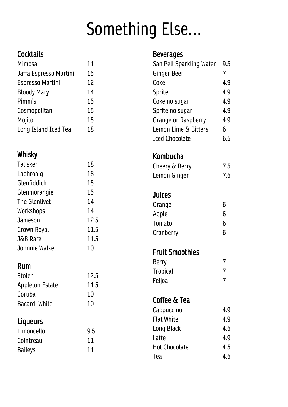## Something Else...

#### **Cocktails**

| <b>Mimosa</b>           | 11 |
|-------------------------|----|
| Jaffa Espresso Martini  | 15 |
| <b>Espresso Martini</b> | 12 |
| <b>Bloody Mary</b>      | 14 |
| Pimm's                  | 15 |
| Cosmopolitan            | 15 |
| Mojito                  | 15 |
| Long Island Iced Tea    | 18 |

#### Whisky

| Talisker             | 18   |
|----------------------|------|
| Laphroaig            | 18   |
| Glenfiddich          | 15   |
| Glenmorangie         | 15   |
| <b>The Glenlivet</b> | 14   |
| Workshops            | 14   |
| Jameson              | 12.5 |
| Crown Royal          | 11.5 |
| J&B Rare             | 11.5 |
| Johnnie Walker       | 10   |

#### Rum

| <b>Stolen</b>          | 12.5 |
|------------------------|------|
| <b>Appleton Estate</b> | 11.5 |
| Coruba                 | 10   |
| <b>Bacardi White</b>   | 10   |

#### Liqueurs

| 9.5 |
|-----|
| 11  |
| 11  |
|     |

#### Beverages

| San Pell Sparkling Water<br>Ginger Beer | 9.5<br>7 |
|-----------------------------------------|----------|
| Coke                                    | 4.9      |
| Sprite                                  | 4.9      |
| Coke no sugar                           | 4.9      |
| Sprite no sugar                         | 4.9      |
| Orange or Raspberry                     | 4.9      |
| Lemon Lime & Bitters                    | 6        |
| <b>Iced Chocolate</b>                   | 6.5      |
| Kombucha                                |          |
| Cheery & Berry                          | 7.5      |
| Lemon Ginger                            | 7.5      |
|                                         |          |
| <b>Juices</b>                           |          |
| Orange                                  | 6        |
| Apple                                   | 6        |
| Tomato                                  | 6        |
| Cranberry                               | 6        |
| <b>Fruit Smoothies</b>                  |          |
| Berry                                   | 7        |
| <b>Tropical</b>                         | 7        |
| Feijoa                                  | 7        |
| Coffee & Tea                            |          |
| Cappuccino                              | 4.9      |
| <b>Flat White</b>                       | 4.9      |
| Long Black                              | 4.5      |
| Latte                                   | 4.9      |
| <b>Hot Chocolate</b>                    | 4.5      |
| Tea                                     | 4.5      |
|                                         |          |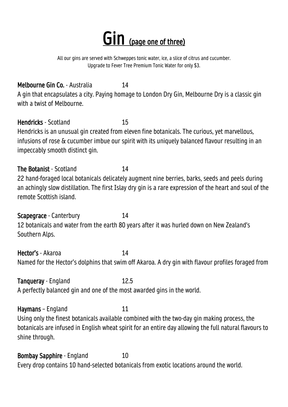## Gin (page one of three)

All our gins are served with Schweppes tonic water, ice, a slice of citrus and cucumber. Upgrade to Fever Tree Premium Tonic Water for only \$3.

Melbourne Gin Co. - Australia 14 A gin that encapsulates a city. Paying homage to London Dry Gin, Melbourne Dry is a classic gin with a twist of Melbourne.

Hendricks - Scotland 15 Hendricks is an unusual gin created from eleven fine botanicals. The curious, yet marvellous, infusions of rose & cucumber imbue our spirit with its uniquely balanced flavour resulting in an impeccably smooth distinct gin.

The Botanist - Scotland 14 22 hand-foraged local botanicals delicately augment nine berries, barks, seeds and peels during an achingly slow distillation. The first Islay dry gin is a rare expression of the heart and soul of the remote Scottish island.

Scapegrace - Canterbury 14 12 botanicals and water from the earth 80 years after it was hurled down on New Zealand's Southern Alps.

Hector's - Akaroa 14 Named for the Hector's dolphins that swim off Akaroa. A dry gin with flavour profiles foraged from

Tanqueray - England 12.5 A perfectly balanced gin and one of the most awarded gins in the world.

Haymans – England 11 Using only the finest botanicals available combined with the two-day gin making process, the botanicals are infused in English wheat spirit for an entire day allowing the full natural flavours to shine through.

**Bombay Sapphire - England 10** Every drop contains 10 hand-selected botanicals from exotic locations around the world.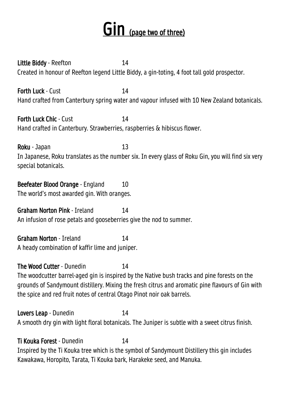### GIN (page two of three)

Little Biddy - Reefton 14 Created in honour of Reefton legend Little Biddy, a gin-toting, 4 foot tall gold prospector.

**Forth Luck - Cust 14 and 14 and 14 and 14 and 14 and 14 and 14 and 14 and 14 and 14 and 14 and 14 and 14 and 14 and 14 and 14 and 14 and 14 and 14 and 14 and 14 and 14 and 14 and 14 and 14 and 14 and 14 and 14 and 14 and** Hand crafted from Canterbury spring water and vapour infused with 10 New Zealand botanicals.

**Forth Luck Chic - Cust 14** Hand crafted in Canterbury. Strawberries, raspberries & hibiscus flower.

Roku - Japan 13 In Japanese, Roku translates as the number six. In every glass of Roku Gin, you will find six very special botanicals.

Beefeater Blood Orange - England 10 The world's most awarded gin. With oranges.

Graham Norton Pink - Ireland 14 An infusion of rose petals and gooseberries give the nod to summer.

Graham Norton - Ireland 14 A heady combination of kaffir lime and juniper.

The Wood Cutter - Dunedin 14 The woodcutter barrel-aged gin is inspired by the Native bush tracks and pine forests on the grounds of Sandymount distillery. Mixing the fresh citrus and aromatic pine flavours of Gin with the spice and red fruit notes of central Otago Pinot noir oak barrels.

Lovers Leap - Dunedin 14 A smooth dry gin with light floral botanicals. The Juniper is subtle with a sweet citrus finish.

Ti Kouka Forest - Dunedin 14 Inspired by the Ti Kouka tree which is the symbol of Sandymount Distillery this gin includes Kawakawa, Horopito, Tarata, Ti Kouka bark, Harakeke seed, and Manuka.